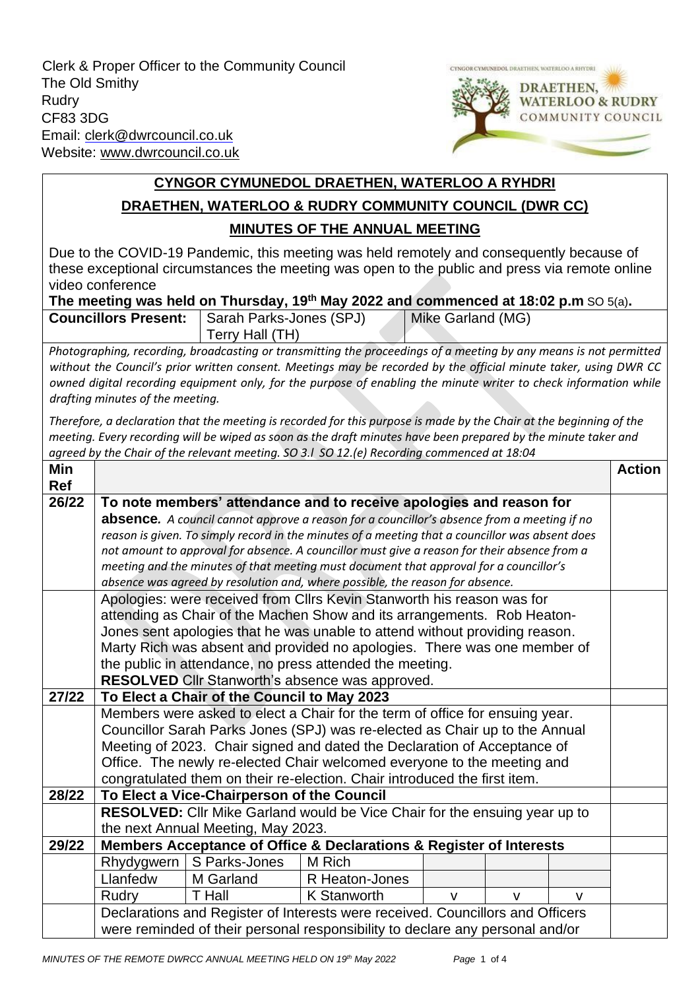Clerk & Proper Officer to the Community Council The Old Smithy Rudry CF83 3DG Email: clerk@dwrcouncil.co.uk Website: [www.dwrcouncil.co.uk](http://www.dwrcouncil.co.uk/)



## **CYNGOR CYMUNEDOL DRAETHEN, WATERLOO A RYHDRI DRAETHEN, WATERLOO & RUDRY COMMUNITY COUNCIL (DWR CC) MINUTES OF THE ANNUAL MEETING**

Due to the COVID-19 Pandemic, this meeting was held remotely and consequently because of these exceptional circumstances the meeting was open to the public and press via remote online video conference

## **The meeting was held on Thursday, 19th May 2022 and commenced at 18:02 p.m** SO 5(a)**.**

| <b>Councillors Present:</b> | Sarah Parks-Jones (SPJ) |  | Mike Garland (MG) |  |
|-----------------------------|-------------------------|--|-------------------|--|
|                             | Terry Hall (TH)         |  |                   |  |
|                             |                         |  |                   |  |

*Photographing, recording, broadcasting or transmitting the proceedings of a meeting by any means is not permitted without the Council's prior written consent. Meetings may be recorded by the official minute taker, using DWR CC owned digital recording equipment only, for the purpose of enabling the minute writer to check information while drafting minutes of the meeting.*

*Therefore, a declaration that the meeting is recorded for this purpose is made by the Chair at the beginning of the meeting. Every recording will be wiped as soon as the draft minutes have been prepared by the minute taker and agreed by the Chair of the relevant meeting. SO 3.l SO 12.(e) Recording commenced at 18:04*

| Min        |                                                                                                                                                                   |               |                                                                                                                                                                                        |              |              |   | <b>Action</b> |
|------------|-------------------------------------------------------------------------------------------------------------------------------------------------------------------|---------------|----------------------------------------------------------------------------------------------------------------------------------------------------------------------------------------|--------------|--------------|---|---------------|
| <b>Ref</b> |                                                                                                                                                                   |               |                                                                                                                                                                                        |              |              |   |               |
| 26/22      | To note members' attendance and to receive apologies and reason for<br>absence. A council cannot approve a reason for a councillor's absence from a meeting if no |               |                                                                                                                                                                                        |              |              |   |               |
|            |                                                                                                                                                                   |               |                                                                                                                                                                                        |              |              |   |               |
|            |                                                                                                                                                                   |               | reason is given. To simply record in the minutes of a meeting that a councillor was absent does                                                                                        |              |              |   |               |
|            |                                                                                                                                                                   |               | not amount to approval for absence. A councillor must give a reason for their absence from a<br>meeting and the minutes of that meeting must document that approval for a councillor's |              |              |   |               |
|            |                                                                                                                                                                   |               | absence was agreed by resolution and, where possible, the reason for absence.                                                                                                          |              |              |   |               |
|            |                                                                                                                                                                   |               | Apologies: were received from Cllrs Kevin Stanworth his reason was for                                                                                                                 |              |              |   |               |
|            |                                                                                                                                                                   |               | attending as Chair of the Machen Show and its arrangements. Rob Heaton-                                                                                                                |              |              |   |               |
|            |                                                                                                                                                                   |               | Jones sent apologies that he was unable to attend without providing reason.                                                                                                            |              |              |   |               |
|            |                                                                                                                                                                   |               | Marty Rich was absent and provided no apologies. There was one member of                                                                                                               |              |              |   |               |
|            |                                                                                                                                                                   |               |                                                                                                                                                                                        |              |              |   |               |
|            | the public in attendance, no press attended the meeting.<br>RESOLVED Cllr Stanworth's absence was approved.                                                       |               |                                                                                                                                                                                        |              |              |   |               |
| 27/22      | To Elect a Chair of the Council to May 2023                                                                                                                       |               |                                                                                                                                                                                        |              |              |   |               |
|            | Members were asked to elect a Chair for the term of office for ensuing year.                                                                                      |               |                                                                                                                                                                                        |              |              |   |               |
|            | Councillor Sarah Parks Jones (SPJ) was re-elected as Chair up to the Annual                                                                                       |               |                                                                                                                                                                                        |              |              |   |               |
|            | Meeting of 2023. Chair signed and dated the Declaration of Acceptance of                                                                                          |               |                                                                                                                                                                                        |              |              |   |               |
|            | Office. The newly re-elected Chair welcomed everyone to the meeting and                                                                                           |               |                                                                                                                                                                                        |              |              |   |               |
|            | congratulated them on their re-election. Chair introduced the first item.                                                                                         |               |                                                                                                                                                                                        |              |              |   |               |
| 28/22      | To Elect a Vice-Chairperson of the Council                                                                                                                        |               |                                                                                                                                                                                        |              |              |   |               |
|            | RESOLVED: Cllr Mike Garland would be Vice Chair for the ensuing year up to                                                                                        |               |                                                                                                                                                                                        |              |              |   |               |
|            | the next Annual Meeting, May 2023.                                                                                                                                |               |                                                                                                                                                                                        |              |              |   |               |
| 29/22      | Members Acceptance of Office & Declarations & Register of Interests                                                                                               |               |                                                                                                                                                                                        |              |              |   |               |
|            | Rhydygwern                                                                                                                                                        | S Parks-Jones | M Rich                                                                                                                                                                                 |              |              |   |               |
|            | Llanfedw                                                                                                                                                          | M Garland     | R Heaton-Jones                                                                                                                                                                         |              |              |   |               |
|            | Rudry                                                                                                                                                             | <b>T</b> Hall | <b>K Stanworth</b>                                                                                                                                                                     | $\mathsf{V}$ | $\mathsf{V}$ | v |               |
|            | Declarations and Register of Interests were received. Councillors and Officers                                                                                    |               |                                                                                                                                                                                        |              |              |   |               |
|            | were reminded of their personal responsibility to declare any personal and/or                                                                                     |               |                                                                                                                                                                                        |              |              |   |               |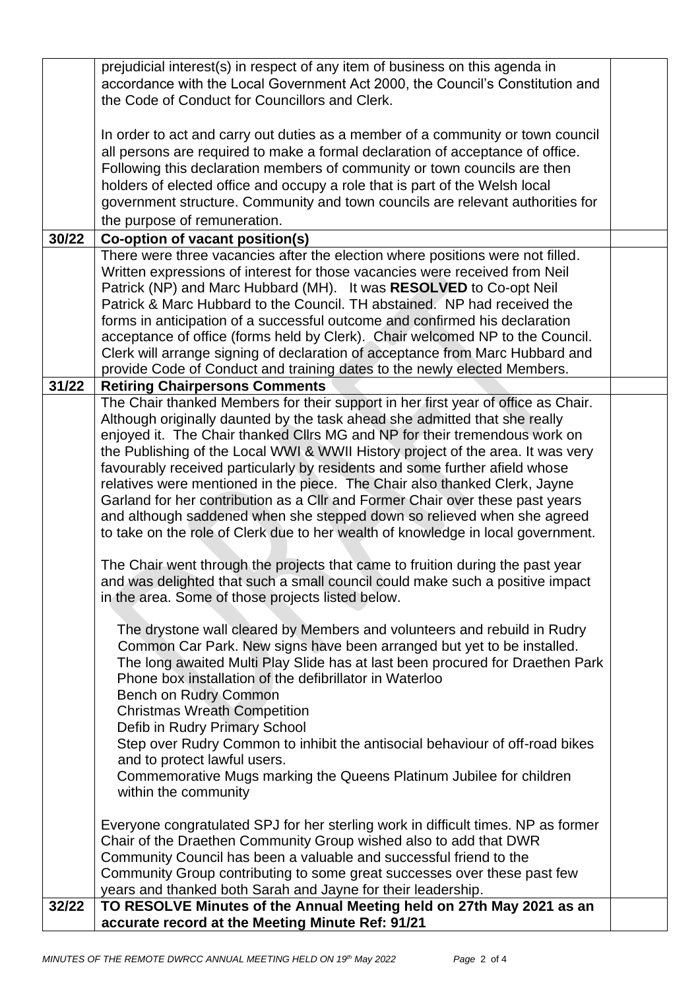|       | prejudicial interest(s) in respect of any item of business on this agenda in                                                             |  |
|-------|------------------------------------------------------------------------------------------------------------------------------------------|--|
|       | accordance with the Local Government Act 2000, the Council's Constitution and                                                            |  |
|       | the Code of Conduct for Councillors and Clerk.                                                                                           |  |
|       |                                                                                                                                          |  |
|       | In order to act and carry out duties as a member of a community or town council                                                          |  |
|       | all persons are required to make a formal declaration of acceptance of office.                                                           |  |
|       | Following this declaration members of community or town councils are then                                                                |  |
|       | holders of elected office and occupy a role that is part of the Welsh local                                                              |  |
|       | government structure. Community and town councils are relevant authorities for                                                           |  |
|       |                                                                                                                                          |  |
|       | the purpose of remuneration.                                                                                                             |  |
| 30/22 | Co-option of vacant position(s)                                                                                                          |  |
|       | There were three vacancies after the election where positions were not filled.                                                           |  |
|       | Written expressions of interest for those vacancies were received from Neil                                                              |  |
|       | Patrick (NP) and Marc Hubbard (MH). It was RESOLVED to Co-opt Neil                                                                       |  |
|       | Patrick & Marc Hubbard to the Council. TH abstained. NP had received the                                                                 |  |
|       | forms in anticipation of a successful outcome and confirmed his declaration                                                              |  |
|       | acceptance of office (forms held by Clerk). Chair welcomed NP to the Council.                                                            |  |
|       | Clerk will arrange signing of declaration of acceptance from Marc Hubbard and                                                            |  |
|       | provide Code of Conduct and training dates to the newly elected Members.                                                                 |  |
| 31/22 | <b>Retiring Chairpersons Comments</b>                                                                                                    |  |
|       | The Chair thanked Members for their support in her first year of office as Chair.                                                        |  |
|       | Although originally daunted by the task ahead she admitted that she really                                                               |  |
|       | enjoyed it. The Chair thanked Cllrs MG and NP for their tremendous work on                                                               |  |
|       | the Publishing of the Local WWI & WWII History project of the area. It was very                                                          |  |
|       | favourably received particularly by residents and some further afield whose                                                              |  |
|       | relatives were mentioned in the piece. The Chair also thanked Clerk, Jayne                                                               |  |
|       | Garland for her contribution as a Cllr and Former Chair over these past years                                                            |  |
|       | and although saddened when she stepped down so relieved when she agreed                                                                  |  |
|       | to take on the role of Clerk due to her wealth of knowledge in local government.                                                         |  |
|       | The Chair went through the projects that came to fruition during the past year                                                           |  |
|       |                                                                                                                                          |  |
|       | and was delighted that such a small council could make such a positive impact                                                            |  |
|       | in the area. Some of those projects listed below.                                                                                        |  |
|       | The drystone wall cleared by Members and volunteers and rebuild in Rudry                                                                 |  |
|       |                                                                                                                                          |  |
|       | Common Car Park. New signs have been arranged but yet to be installed.                                                                   |  |
|       | The long awaited Multi Play Slide has at last been procured for Draethen Park<br>Phone box installation of the defibrillator in Waterloo |  |
|       | Bench on Rudry Common                                                                                                                    |  |
|       | <b>Christmas Wreath Competition</b>                                                                                                      |  |
|       |                                                                                                                                          |  |
|       | Defib in Rudry Primary School                                                                                                            |  |
|       | Step over Rudry Common to inhibit the antisocial behaviour of off-road bikes                                                             |  |
|       | and to protect lawful users.                                                                                                             |  |
|       | Commemorative Mugs marking the Queens Platinum Jubilee for children                                                                      |  |
|       | within the community                                                                                                                     |  |
|       |                                                                                                                                          |  |
|       | Everyone congratulated SPJ for her sterling work in difficult times. NP as former                                                        |  |
|       | Chair of the Draethen Community Group wished also to add that DWR                                                                        |  |
|       | Community Council has been a valuable and successful friend to the                                                                       |  |
|       | Community Group contributing to some great successes over these past few                                                                 |  |
|       | years and thanked both Sarah and Jayne for their leadership.                                                                             |  |
| 32/22 | TO RESOLVE Minutes of the Annual Meeting held on 27th May 2021 as an                                                                     |  |
|       | accurate record at the Meeting Minute Ref: 91/21                                                                                         |  |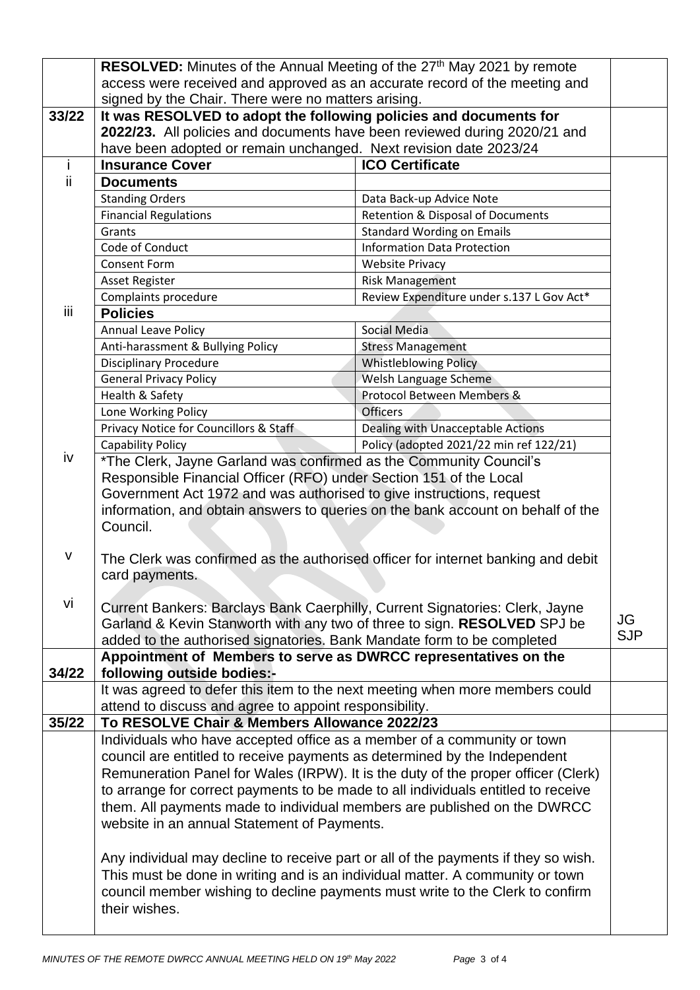|              | RESOLVED: Minutes of the Annual Meeting of the 27 <sup>th</sup> May 2021 by remote                                      |                                           |            |  |  |
|--------------|-------------------------------------------------------------------------------------------------------------------------|-------------------------------------------|------------|--|--|
|              | access were received and approved as an accurate record of the meeting and                                              |                                           |            |  |  |
|              | signed by the Chair. There were no matters arising.                                                                     |                                           |            |  |  |
| 33/22        | It was RESOLVED to adopt the following policies and documents for                                                       |                                           |            |  |  |
|              | 2022/23. All policies and documents have been reviewed during 2020/21 and                                               |                                           |            |  |  |
|              | have been adopted or remain unchanged. Next revision date 2023/24                                                       |                                           |            |  |  |
| j.           | <b>Insurance Cover</b>                                                                                                  | <b>ICO Certificate</b>                    |            |  |  |
| ii.          | <b>Documents</b>                                                                                                        |                                           |            |  |  |
|              | <b>Standing Orders</b>                                                                                                  | Data Back-up Advice Note                  |            |  |  |
|              | <b>Financial Regulations</b>                                                                                            | Retention & Disposal of Documents         |            |  |  |
|              | Grants                                                                                                                  | <b>Standard Wording on Emails</b>         |            |  |  |
|              | Code of Conduct                                                                                                         | <b>Information Data Protection</b>        |            |  |  |
|              | <b>Consent Form</b><br><b>Website Privacy</b>                                                                           |                                           |            |  |  |
|              | <b>Asset Register</b>                                                                                                   | <b>Risk Management</b>                    |            |  |  |
|              | Complaints procedure                                                                                                    | Review Expenditure under s.137 L Gov Act* |            |  |  |
| iii          | <b>Policies</b>                                                                                                         |                                           |            |  |  |
|              | <b>Annual Leave Policy</b>                                                                                              | Social Media                              |            |  |  |
|              | Anti-harassment & Bullying Policy                                                                                       | <b>Stress Management</b>                  |            |  |  |
|              | <b>Disciplinary Procedure</b>                                                                                           | <b>Whistleblowing Policy</b>              |            |  |  |
|              | <b>General Privacy Policy</b>                                                                                           | Welsh Language Scheme                     |            |  |  |
|              | Health & Safety                                                                                                         | Protocol Between Members &                |            |  |  |
|              | Lone Working Policy                                                                                                     | Officers                                  |            |  |  |
|              | Privacy Notice for Councillors & Staff                                                                                  | Dealing with Unacceptable Actions         |            |  |  |
|              | <b>Capability Policy</b>                                                                                                | Policy (adopted 2021/22 min ref 122/21)   |            |  |  |
| iv           | *The Clerk, Jayne Garland was confirmed as the Community Council's                                                      |                                           |            |  |  |
|              | Responsible Financial Officer (RFO) under Section 151 of the Local                                                      |                                           |            |  |  |
|              | Government Act 1972 and was authorised to give instructions, request                                                    |                                           |            |  |  |
|              | information, and obtain answers to queries on the bank account on behalf of the                                         |                                           |            |  |  |
|              | Council.                                                                                                                |                                           |            |  |  |
|              |                                                                                                                         |                                           |            |  |  |
| $\mathsf{V}$ | The Clerk was confirmed as the authorised officer for internet banking and debit                                        |                                           |            |  |  |
|              | card payments.                                                                                                          |                                           |            |  |  |
|              |                                                                                                                         |                                           |            |  |  |
| vi           | Current Bankers: Barclays Bank Caerphilly, Current Signatories: Clerk, Jayne                                            |                                           |            |  |  |
|              | Garland & Kevin Stanworth with any two of three to sign. RESOLVED SPJ be                                                |                                           | JG         |  |  |
|              | added to the authorised signatories. Bank Mandate form to be completed                                                  |                                           | <b>SJP</b> |  |  |
|              | Appointment of Members to serve as DWRCC representatives on the                                                         |                                           |            |  |  |
| 34/22        | following outside bodies:-                                                                                              |                                           |            |  |  |
|              | It was agreed to defer this item to the next meeting when more members could                                            |                                           |            |  |  |
|              | attend to discuss and agree to appoint responsibility.                                                                  |                                           |            |  |  |
| 35/22        |                                                                                                                         |                                           |            |  |  |
|              | To RESOLVE Chair & Members Allowance 2022/23                                                                            |                                           |            |  |  |
|              | Individuals who have accepted office as a member of a community or town                                                 |                                           |            |  |  |
|              | council are entitled to receive payments as determined by the Independent                                               |                                           |            |  |  |
|              | Remuneration Panel for Wales (IRPW). It is the duty of the proper officer (Clerk)                                       |                                           |            |  |  |
|              | to arrange for correct payments to be made to all individuals entitled to receive                                       |                                           |            |  |  |
|              |                                                                                                                         |                                           |            |  |  |
|              | them. All payments made to individual members are published on the DWRCC<br>website in an annual Statement of Payments. |                                           |            |  |  |
|              |                                                                                                                         |                                           |            |  |  |
|              |                                                                                                                         |                                           |            |  |  |
|              | Any individual may decline to receive part or all of the payments if they so wish.                                      |                                           |            |  |  |
|              | This must be done in writing and is an individual matter. A community or town                                           |                                           |            |  |  |
|              | council member wishing to decline payments must write to the Clerk to confirm<br>their wishes.                          |                                           |            |  |  |